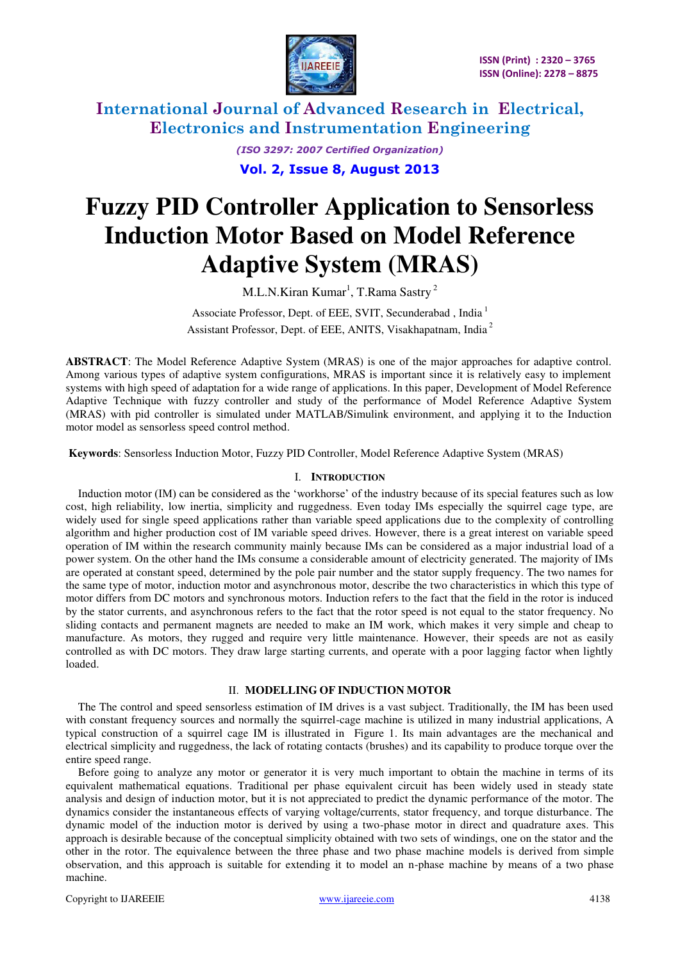

> *(ISO 3297: 2007 Certified Organization)*  **Vol. 2, Issue 8, August 2013**

# **Fuzzy PID Controller Application to Sensorless Induction Motor Based on Model Reference Adaptive System (MRAS)**

M.L.N.Kiran Kumar<sup>1</sup>, T.Rama Sastry<sup>2</sup>

Associate Professor, Dept. of EEE, SVIT, Secunderabad, India<sup>1</sup> Assistant Professor, Dept. of EEE, ANITS, Visakhapatnam, India<sup>2</sup>

**ABSTRACT**: The Model Reference Adaptive System (MRAS) is one of the major approaches for adaptive control. Among various types of adaptive system configurations, MRAS is important since it is relatively easy to implement systems with high speed of adaptation for a wide range of applications. In this paper, Development of Model Reference Adaptive Technique with fuzzy controller and study of the performance of Model Reference Adaptive System (MRAS) with pid controller is simulated under MATLAB/Simulink environment, and applying it to the Induction motor model as sensorless speed control method.

 **Keywords**: Sensorless Induction Motor, Fuzzy PID Controller, Model Reference Adaptive System (MRAS)

#### I. **INTRODUCTION**

Induction motor (IM) can be considered as the 'workhorse' of the industry because of its special features such as low cost, high reliability, low inertia, simplicity and ruggedness. Even today IMs especially the squirrel cage type, are widely used for single speed applications rather than variable speed applications due to the complexity of controlling algorithm and higher production cost of IM variable speed drives. However, there is a great interest on variable speed operation of IM within the research community mainly because IMs can be considered as a major industrial load of a power system. On the other hand the IMs consume a considerable amount of electricity generated. The majority of IMs are operated at constant speed, determined by the pole pair number and the stator supply frequency. The two names for the same type of motor, induction motor and asynchronous motor, describe the two characteristics in which this type of motor differs from DC motors and synchronous motors. Induction refers to the fact that the field in the rotor is induced by the stator currents, and asynchronous refers to the fact that the rotor speed is not equal to the stator frequency. No sliding contacts and permanent magnets are needed to make an IM work, which makes it very simple and cheap to manufacture. As motors, they rugged and require very little maintenance. However, their speeds are not as easily controlled as with DC motors. They draw large starting currents, and operate with a poor lagging factor when lightly loaded.

#### II. **MODELLING OF INDUCTION MOTOR**

The The control and speed sensorless estimation of IM drives is a vast subject. Traditionally, the IM has been used with constant frequency sources and normally the squirrel-cage machine is utilized in many industrial applications, A typical construction of a squirrel cage IM is illustrated in Figure 1. Its main advantages are the mechanical and electrical simplicity and ruggedness, the lack of rotating contacts (brushes) and its capability to produce torque over the entire speed range.

Before going to analyze any motor or generator it is very much important to obtain the machine in terms of its equivalent mathematical equations. Traditional per phase equivalent circuit has been widely used in steady state analysis and design of induction motor, but it is not appreciated to predict the dynamic performance of the motor. The dynamics consider the instantaneous effects of varying voltage/currents, stator frequency, and torque disturbance. The dynamic model of the induction motor is derived by using a two-phase motor in direct and quadrature axes. This approach is desirable because of the conceptual simplicity obtained with two sets of windings, one on the stator and the other in the rotor. The equivalence between the three phase and two phase machine models is derived from simple observation, and this approach is suitable for extending it to model an n-phase machine by means of a two phase machine.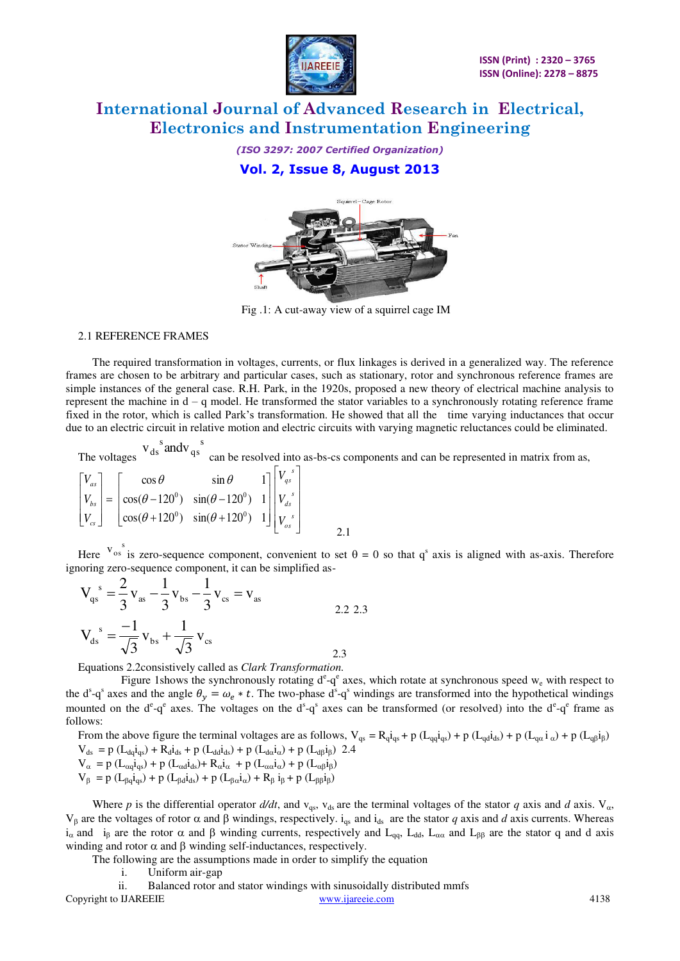

*(ISO 3297: 2007 Certified Organization)*  **Vol. 2, Issue 8, August 2013** 



Fig .1: A cut-away view of a squirrel cage IM

#### 2.1 REFERENCE FRAMES

 The required transformation in voltages, currents, or flux linkages is derived in a generalized way. The reference frames are chosen to be arbitrary and particular cases, such as stationary, rotor and synchronous reference frames are simple instances of the general case. R.H. Park, in the 1920s, proposed a new theory of electrical machine analysis to represent the machine in d – q model. He transformed the stator variables to a synchronously rotating reference frame fixed in the rotor, which is called Park's transformation. He showed that all the time varying inductances that occur due to an electric circuit in relative motion and electric circuits with varying magnetic reluctances could be eliminated.

The voltages s qs  $v_{ds}^{s}$  and  $v_{qs}^{s}$  can be resolved into as-bs-cs components and can be represented in matrix from as,

$$
\begin{bmatrix}\nV_{as} \\
V_{bs} \\
V_{cs}\n\end{bmatrix} = \begin{bmatrix}\n\cos\theta & \sin\theta & 1 \\
\cos(\theta - 120^\circ) & \sin(\theta - 120^\circ) & 1 \\
\cos(\theta + 120^\circ) & \sin(\theta + 120^\circ) & 1\n\end{bmatrix} \begin{bmatrix}\nV_{gs}^s \\
V_{ds}^s \\
V_{gs}^s\n\end{bmatrix}
$$

Here  $v_{\text{os}}^{s}$  is zero-sequence component, convenient to set  $\theta = 0$  so that q<sup>s</sup> axis is aligned with as-axis. Therefore ignoring zero-sequence component, it can be simplified as-

$$
V_{qs}^{s} = \frac{2}{3}v_{as} - \frac{1}{3}v_{bs} - \frac{1}{3}v_{cs} = v_{as}
$$
  

$$
V_{ds}^{s} = \frac{-1}{\sqrt{3}}v_{bs} + \frac{1}{\sqrt{3}}v_{cs}
$$
 (2.2.2.3)

Equations 2.2consistively called as *Clark Transformation.* 

Figure 1shows the synchronously rotating  $d^e - q^e$  axes, which rotate at synchronous speed  $w_e$  with respect to the d<sup>s</sup>-q<sup>s</sup> axes and the angle  $\theta_y = \omega_e * t$ . The two-phase d<sup>s</sup>-q<sup>s</sup> windings are transformed into the hypothetical windings mounted on the  $d^e$ -q<sup>e</sup> axes. The voltages on the  $d^s$ -q<sup>s</sup> axes can be transformed (or resolved) into the  $d^e$ -q<sup>e</sup> frame as follows:

From the above figure the terminal voltages are as follows,  $V_{qs} = R_q i_{qs} + p (L_{qq} i_{qs}) + p (L_{qd} i_{ds}) + p (L_{qg} i_{\alpha}) + p (L_{qg} i_{\beta})$  $V_{ds} = p (L_{dq} i_{qs}) + R_d i_{ds} + p (L_{dd} i_{ds}) + p (L_{da} i_{\alpha}) + p (L_{d\beta} i_{\beta})$  2.4  $\label{eq:Valpha} V_\alpha\,=p\,(L_{\alpha q}i_{qs})+p\,(L_{\alpha d}i_{ds})+R_\alpha i_\alpha\,+p\,(L_{\alpha\alpha}i_\alpha)+p\,(L_{\alpha\beta}i_\beta)$  $V_{\beta} = p (L_{\beta q} i_{qs}) + p (L_{\beta d} i_{ds}) + p (L_{\beta \alpha} i_{\alpha}) + R_{\beta} i_{\beta} + p (L_{\beta \beta} i_{\beta})$ 

Where p is the differential operator  $d/dt$ , and  $v_{qs}$ ,  $v_{ds}$  are the terminal voltages of the stator q axis and d axis.  $V_{\alpha}$ ,  $V_\beta$  are the voltages of rotor  $\alpha$  and  $\beta$  windings, respectively. i<sub>qs</sub> and i<sub>ds</sub> are the stator *q* axis and *d* axis currents. Whereas  $i_\alpha$  and  $i_\beta$  are the rotor  $\alpha$  and  $\beta$  winding currents, respectively and  $L_{qq}$ ,  $L_{dd}$ ,  $L_{\alpha\alpha}$  and  $L_{\beta\beta}$  are the stator q and d axis winding and rotor  $\alpha$  and  $\beta$  winding self-inductances, respectively.

The following are the assumptions made in order to simplify the equation

i. Uniform air-gap

Copyright to IJAREEIE www.ijareeie.com 4138 ii. Balanced rotor and stator windings with sinusoidally distributed mmfs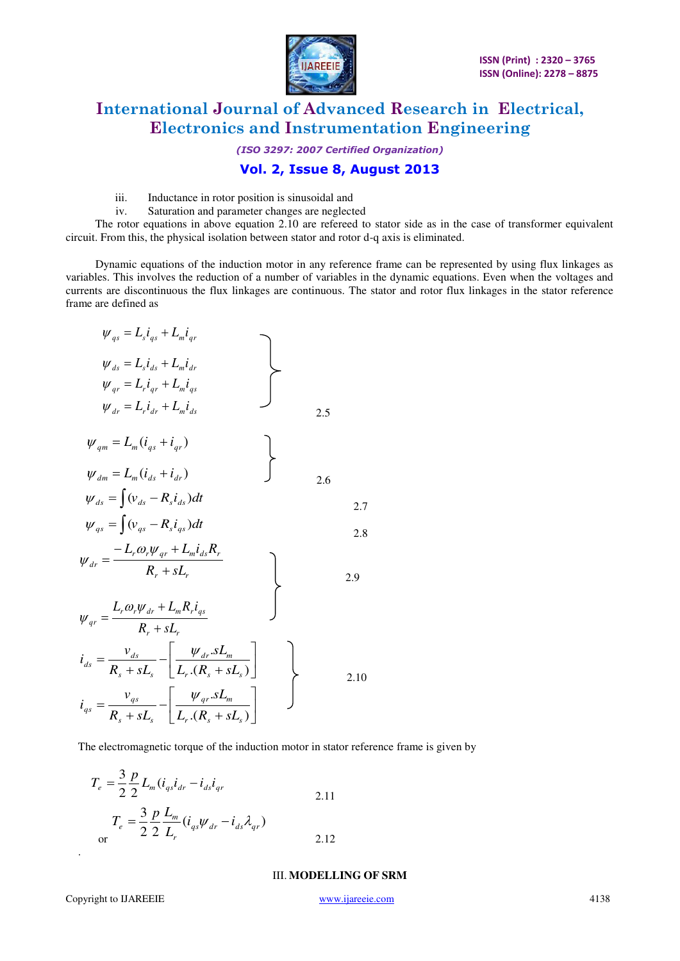

*(ISO 3297: 2007 Certified Organization)* 

### **Vol. 2, Issue 8, August 2013**

- iii. Inductance in rotor position is sinusoidal and
- iv. Saturation and parameter changes are neglected

 The rotor equations in above equation 2.10 are refereed to stator side as in the case of transformer equivalent circuit. From this, the physical isolation between stator and rotor d-q axis is eliminated.

 Dynamic equations of the induction motor in any reference frame can be represented by using flux linkages as variables. This involves the reduction of a number of variables in the dynamic equations. Even when the voltages and currents are discontinuous the flux linkages are continuous. The stator and rotor flux linkages in the stator reference frame are defined as

$$
\psi_{qs} = L_{s}i_{qs} + L_{m}i_{qr}
$$
\n
$$
\psi_{ds} = L_{s}i_{ds} + L_{m}i_{dr}
$$
\n
$$
\psi_{qr} = L_{r}i_{qr} + L_{m}i_{qs}
$$
\n
$$
\psi_{dr} = L_{r}i_{dr} + L_{m}i_{ds}
$$
\n
$$
\psi_{qm} = L_{m}(i_{qs} + i_{qr})
$$
\n
$$
\psi_{dm} = L_{m}(i_{ds} + i_{dr})
$$
\n
$$
\psi_{ds} = \int (v_{ds} - R_{s}i_{ds})dt
$$
\n
$$
\psi_{qs} = \int (v_{qs} - R_{s}i_{qs})dt
$$
\n
$$
\psi_{dr} = \frac{-L_{r}\omega_{r}\psi_{qr} + L_{m}i_{ds}R_{r}}{R_{r} + sL_{r}}
$$
\n
$$
\psi_{qr} = \frac{L_{r}\omega_{r}\psi_{dr} + L_{m}R_{r}i_{qs}}{R_{r} + sL_{r}}
$$
\n
$$
i_{ds} = \frac{v_{ds}}{R_{s} + sL_{s}} - \left[\frac{\psi_{dr}.sL_{m}}{L_{r}.(R_{s} + sL_{s})}\right]
$$
\n
$$
i_{qs} = \frac{v_{qs}}{R_{s} + sL_{s}} - \left[\frac{\psi_{qr}.sL_{m}}{L_{r}.(R_{s} + sL_{s})}\right]
$$
\n
$$
2.10
$$

The electromagnetic torque of the induction motor in stator reference frame is given by

$$
T_e = \frac{3}{2} \frac{p}{2} L_m (i_{qs} i_{dr} - i_{ds} i_{qr}
$$
  
\n
$$
T_e = \frac{3}{2} \frac{p}{2} \frac{L_m}{L_r} (i_{qs} \psi_{dr} - i_{ds} \lambda_{qr})
$$
  
\nor  
\n(2.12)

III. **MODELLING OF SRM**

.

 $\mathbf{l}$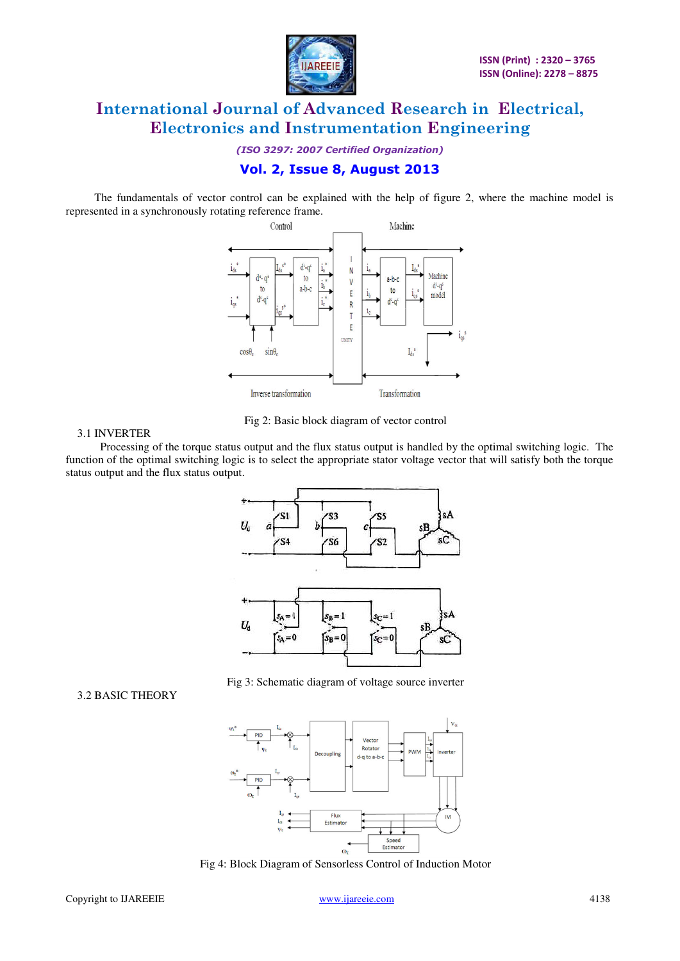

*(ISO 3297: 2007 Certified Organization)* 

### **Vol. 2, Issue 8, August 2013**

 The fundamentals of vector control can be explained with the help of figure 2, where the machine model is represented in a synchronously rotating reference frame.



Fig 2: Basic block diagram of vector control

#### 3.1 INVERTER

 Processing of the torque status output and the flux status output is handled by the optimal switching logic. The function of the optimal switching logic is to select the appropriate stator voltage vector that will satisfy both the torque





#### $V_{\rm de}$ Vecto L. Rotator  $\frac{1}{2}$ nverter Decoupling d-q to a-b-Flux<br>Estimato L Speed<br>Estimator  $\omega_{\rm r}$

Fig 4: Block Diagram of Sensorless Control of Induction Motor

#### 3.2 BASIC THEORY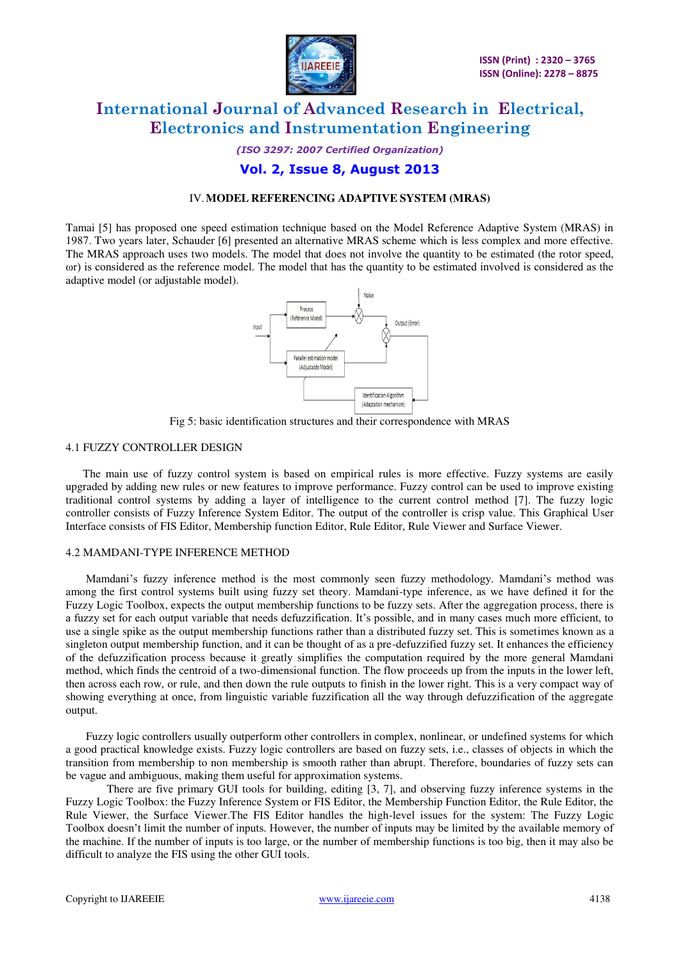

*(ISO 3297: 2007 Certified Organization)* 

### **Vol. 2, Issue 8, August 2013**

#### IV.**MODEL REFERENCING ADAPTIVE SYSTEM (MRAS)**

Tamai [5] has proposed one speed estimation technique based on the Model Reference Adaptive System (MRAS) in 1987. Two years later, Schauder [6] presented an alternative MRAS scheme which is less complex and more effective. The MRAS approach uses two models. The model that does not involve the quantity to be estimated (the rotor speed, ωr) is considered as the reference model. The model that has the quantity to be estimated involved is considered as the adaptive model (or adjustable model).



Fig 5: basic identification structures and their correspondence with MRAS

#### 4.1 FUZZY CONTROLLER DESIGN

 The main use of fuzzy control system is based on empirical rules is more effective. Fuzzy systems are easily upgraded by adding new rules or new features to improve performance. Fuzzy control can be used to improve existing traditional control systems by adding a layer of intelligence to the current control method [7]. The fuzzy logic controller consists of Fuzzy Inference System Editor. The output of the controller is crisp value. This Graphical User Interface consists of FIS Editor, Membership function Editor, Rule Editor, Rule Viewer and Surface Viewer.

#### 4.2 MAMDANI-TYPE INFERENCE METHOD

 Mamdani's fuzzy inference method is the most commonly seen fuzzy methodology. Mamdani's method was among the first control systems built using fuzzy set theory. Mamdani-type inference, as we have defined it for the Fuzzy Logic Toolbox, expects the output membership functions to be fuzzy sets. After the aggregation process, there is a fuzzy set for each output variable that needs defuzzification. It's possible, and in many cases much more efficient, to use a single spike as the output membership functions rather than a distributed fuzzy set. This is sometimes known as a singleton output membership function, and it can be thought of as a pre-defuzzified fuzzy set. It enhances the efficiency of the defuzzification process because it greatly simplifies the computation required by the more general Mamdani method, which finds the centroid of a two-dimensional function. The flow proceeds up from the inputs in the lower left, then across each row, or rule, and then down the rule outputs to finish in the lower right. This is a very compact way of showing everything at once, from linguistic variable fuzzification all the way through defuzzification of the aggregate output.

 Fuzzy logic controllers usually outperform other controllers in complex, nonlinear, or undefined systems for which a good practical knowledge exists. Fuzzy logic controllers are based on fuzzy sets, i.e., classes of objects in which the transition from membership to non membership is smooth rather than abrupt. Therefore, boundaries of fuzzy sets can be vague and ambiguous, making them useful for approximation systems.

There are five primary GUI tools for building, editing [3, 7], and observing fuzzy inference systems in the Fuzzy Logic Toolbox: the Fuzzy Inference System or FIS Editor, the Membership Function Editor, the Rule Editor, the Rule Viewer, the Surface Viewer.The FIS Editor handles the high-level issues for the system: The Fuzzy Logic Toolbox doesn't limit the number of inputs. However, the number of inputs may be limited by the available memory of the machine. If the number of inputs is too large, or the number of membership functions is too big, then it may also be difficult to analyze the FIS using the other GUI tools.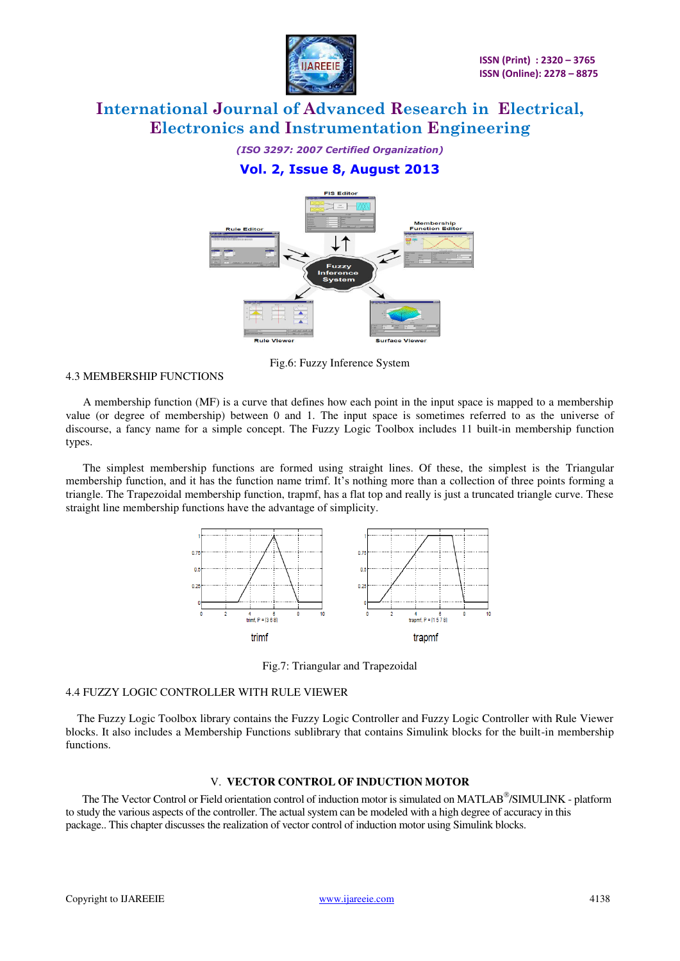

*(ISO 3297: 2007 Certified Organization)* 

### **Vol. 2, Issue 8, August 2013**



Fig.6: Fuzzy Inference System

#### 4.3 MEMBERSHIP FUNCTIONS

 A membership function (MF) is a curve that defines how each point in the input space is mapped to a membership value (or degree of membership) between 0 and 1. The input space is sometimes referred to as the universe of discourse, a fancy name for a simple concept. The Fuzzy Logic Toolbox includes 11 built-in membership function types.

 The simplest membership functions are formed using straight lines. Of these, the simplest is the Triangular membership function, and it has the function name trimf. It's nothing more than a collection of three points forming a triangle. The Trapezoidal membership function, trapmf, has a flat top and really is just a truncated triangle curve. These straight line membership functions have the advantage of simplicity.



Fig.7: Triangular and Trapezoidal

#### 4.4 FUZZY LOGIC CONTROLLER WITH RULE VIEWER

 The Fuzzy Logic Toolbox library contains the Fuzzy Logic Controller and Fuzzy Logic Controller with Rule Viewer blocks. It also includes a Membership Functions sublibrary that contains Simulink blocks for the built-in membership functions.

#### V. **VECTOR CONTROL OF INDUCTION MOTOR**

The The Vector Control or Field orientation control of induction motor is simulated on MATLAB®/SIMULINK - platform to study the various aspects of the controller. The actual system can be modeled with a high degree of accuracy in this package.. This chapter discusses the realization of vector control of induction motor using Simulink blocks.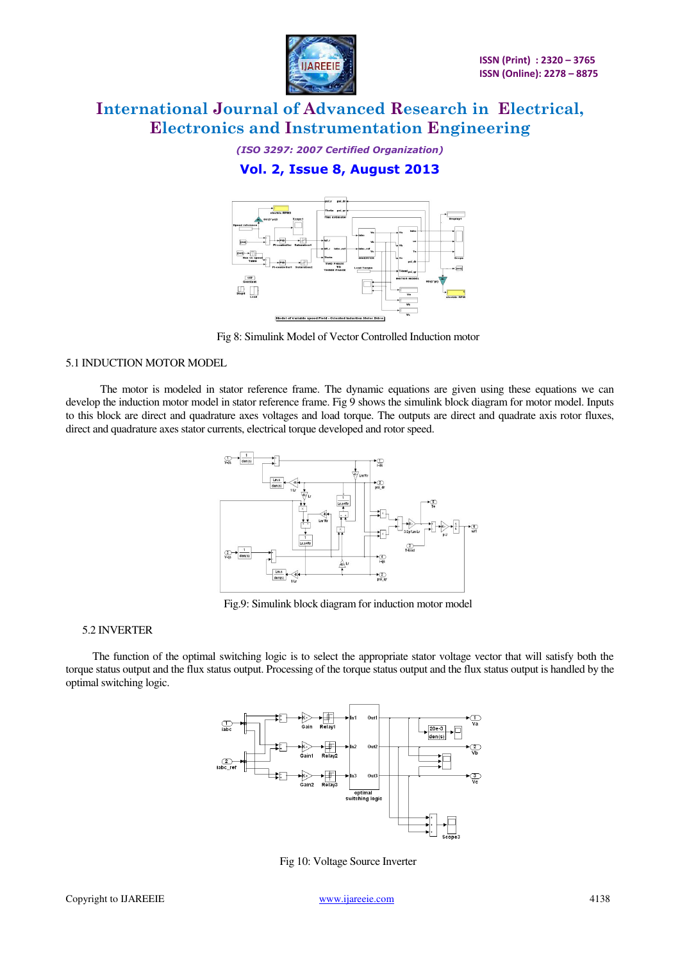

*(ISO 3297: 2007 Certified Organization)* 

### **Vol. 2, Issue 8, August 2013**



Fig 8: Simulink Model of Vector Controlled Induction motor

#### 5.1 INDUCTION MOTOR MODEL

The motor is modeled in stator reference frame. The dynamic equations are given using these equations we can develop the induction motor model in stator reference frame. Fig 9 shows the simulink block diagram for motor model. Inputs to this block are direct and quadrature axes voltages and load torque. The outputs are direct and quadrate axis rotor fluxes, direct and quadrature axes stator currents, electrical torque developed and rotor speed.



Fig.9: Simulink block diagram for induction motor model

#### 5.2 INVERTER

 The function of the optimal switching logic is to select the appropriate stator voltage vector that will satisfy both the torque status output and the flux status output. Processing of the torque status output and the flux status output is handled by the optimal switching logic.



Fig 10: Voltage Source Inverter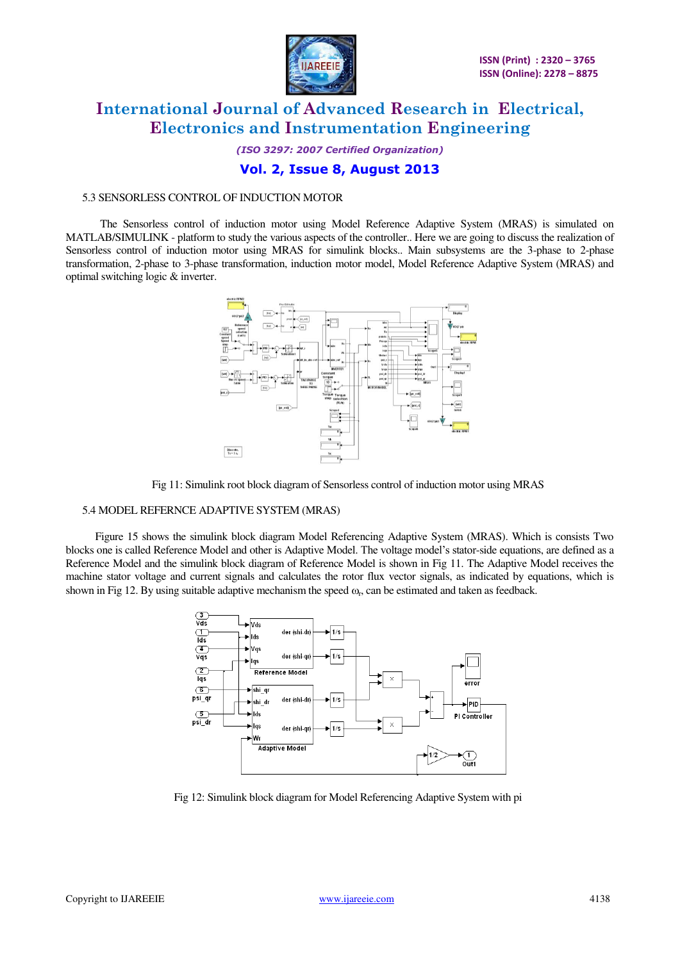

*(ISO 3297: 2007 Certified Organization)* 

#### **Vol. 2, Issue 8, August 2013**

#### 5.3 SENSORLESS CONTROL OF INDUCTION MOTOR

 The Sensorless control of induction motor using Model Reference Adaptive System (MRAS) is simulated on MATLAB/SIMULINK - platform to study the various aspects of the controller.. Here we are going to discuss the realization of Sensorless control of induction motor using MRAS for simulink blocks.. Main subsystems are the 3-phase to 2-phase transformation, 2-phase to 3-phase transformation, induction motor model, Model Reference Adaptive System (MRAS) and optimal switching logic & inverter.



Fig 11: Simulink root block diagram of Sensorless control of induction motor using MRAS

#### 5.4 MODEL REFERNCE ADAPTIVE SYSTEM (MRAS)

 Figure 15 shows the simulink block diagram Model Referencing Adaptive System (MRAS). Which is consists Two blocks one is called Reference Model and other is Adaptive Model. The voltage model's stator-side equations, are defined as a Reference Model and the simulink block diagram of Reference Model is shown in Fig 11. The Adaptive Model receives the machine stator voltage and current signals and calculates the rotor flux vector signals, as indicated by equations, which is shown in Fig 12. By using suitable adaptive mechanism the speed  $\omega_{r}$ , can be estimated and taken as feedback.



Fig 12: Simulink block diagram for Model Referencing Adaptive System with pi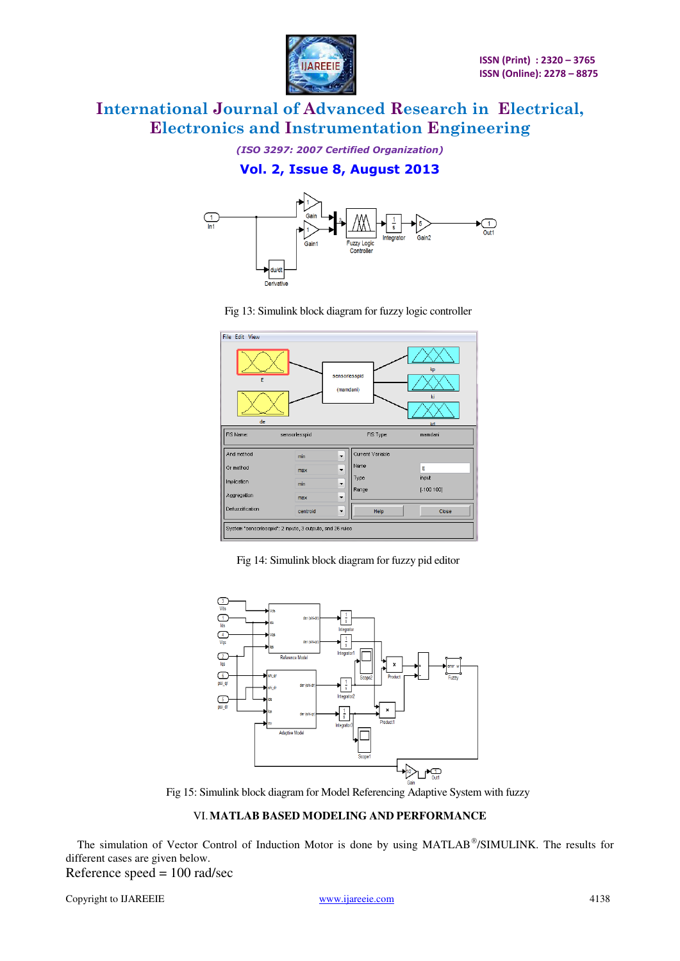

*(ISO 3297: 2007 Certified Organization)* 

### **Vol. 2, Issue 8, August 2013**



| File Edit View                                            |               |                                              |             |
|-----------------------------------------------------------|---------------|----------------------------------------------|-------------|
| kp<br>sensorlesspid<br>E<br>(mamdani)<br>ki<br>de<br>kd   |               |                                              |             |
| FIS Name:                                                 | sensorlesspid | FIS Type:                                    | mamdani     |
| And method                                                | min           | Current Variable<br>$\overline{\phantom{a}}$ |             |
| Or method                                                 | max           | Name<br>$\overline{\phantom{0}}$             | E           |
| Implication                                               | min           | Type<br>$\overline{\phantom{a}}$             | input       |
| Aggregation                                               | max           | Range<br>$\overline{\phantom{a}}$            | $[-100100]$ |
| Defuzzification                                           | centroid      | Help<br>$\blacktriangledown$                 | Close       |
| System "sensoriesspid": 2 inputs, 3 outputs, and 26 rules |               |                                              |             |

Fig 13: Simulink block diagram for fuzzy logic controller

Fig 14: Simulink block diagram for fuzzy pid editor



Fig 15: Simulink block diagram for Model Referencing Adaptive System with fuzzy

#### VI.**MATLAB BASED MODELING AND PERFORMANCE**

The simulation of Vector Control of Induction Motor is done by using MATLAB®/SIMULINK. The results for different cases are given below.

Reference speed = 100 rad/sec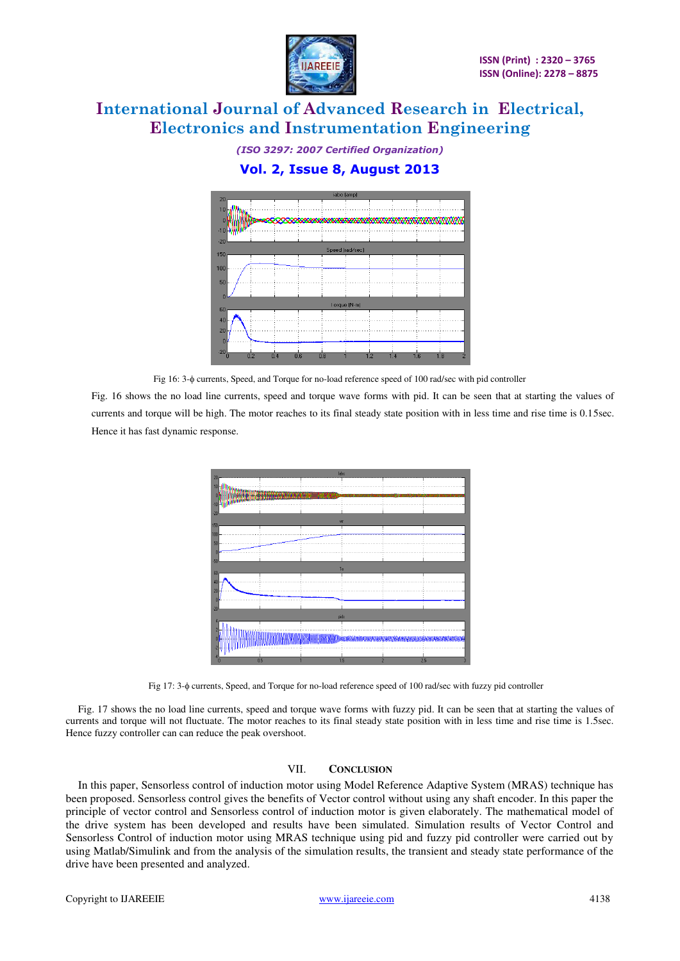

*(ISO 3297: 2007 Certified Organization)*  **Vol. 2, Issue 8, August 2013** 



Fig 16: 3- $\phi$  currents, Speed, and Torque for no-load reference speed of 100 rad/sec with pid controller

Fig. 16 shows the no load line currents, speed and torque wave forms with pid. It can be seen that at starting the values of currents and torque will be high. The motor reaches to its final steady state position with in less time and rise time is 0.15sec. Hence it has fast dynamic response.



Fig 17: 3- $\phi$  currents, Speed, and Torque for no-load reference speed of 100 rad/sec with fuzzy pid controller

Fig. 17 shows the no load line currents, speed and torque wave forms with fuzzy pid. It can be seen that at starting the values of currents and torque will not fluctuate. The motor reaches to its final steady state position with in less time and rise time is 1.5sec. Hence fuzzy controller can can reduce the peak overshoot.

#### VII. **CONCLUSION**

In this paper, Sensorless control of induction motor using Model Reference Adaptive System (MRAS) technique has been proposed. Sensorless control gives the benefits of Vector control without using any shaft encoder. In this paper the principle of vector control and Sensorless control of induction motor is given elaborately. The mathematical model of the drive system has been developed and results have been simulated. Simulation results of Vector Control and Sensorless Control of induction motor using MRAS technique using pid and fuzzy pid controller were carried out by using Matlab/Simulink and from the analysis of the simulation results, the transient and steady state performance of the drive have been presented and analyzed.